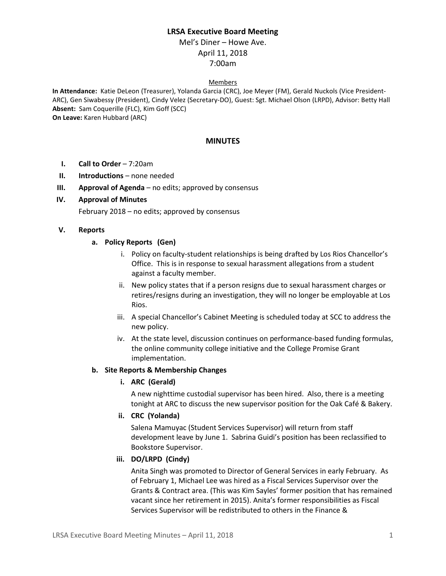## **LRSA Executive Board Meeting**

# Mel's Diner – Howe Ave. April 11, 2018 7:00am

#### Members

**In Attendance:** Katie DeLeon (Treasurer), Yolanda Garcia (CRC), Joe Meyer (FM), Gerald Nuckols (Vice President-ARC), Gen Siwabessy (President), Cindy Velez (Secretary-DO), Guest: Sgt. Michael Olson (LRPD), Advisor: Betty Hall **Absent:** Sam Coquerille (FLC), Kim Goff (SCC) **On Leave:** Karen Hubbard (ARC)

#### **MINUTES**

- **I. Call to Order** 7:20am
- **II. Introductions** none needed
- **III. Approval of Agenda** no edits; approved by consensus

### **IV. Approval of Minutes**

February 2018 – no edits; approved by consensus

### **V. Reports**

### **a. Policy Reports (Gen)**

- i. Policy on faculty-student relationships is being drafted by Los Rios Chancellor's Office. This is in response to sexual harassment allegations from a student against a faculty member.
- ii. New policy states that if a person resigns due to sexual harassment charges or retires/resigns during an investigation, they will no longer be employable at Los Rios.
- iii. A special Chancellor's Cabinet Meeting is scheduled today at SCC to address the new policy.
- iv. At the state level, discussion continues on performance-based funding formulas, the online community college initiative and the College Promise Grant implementation.

#### **b. Site Reports & Membership Changes**

**i. ARC (Gerald)**

A new nighttime custodial supervisor has been hired. Also, there is a meeting tonight at ARC to discuss the new supervisor position for the Oak Café & Bakery.

## **ii. CRC (Yolanda)**

Salena Mamuyac (Student Services Supervisor) will return from staff development leave by June 1. Sabrina Guidi's position has been reclassified to Bookstore Supervisor.

#### **iii. DO/LRPD (Cindy)**

Anita Singh was promoted to Director of General Services in early February. As of February 1, Michael Lee was hired as a Fiscal Services Supervisor over the Grants & Contract area. (This was Kim Sayles' former position that has remained vacant since her retirement in 2015). Anita's former responsibilities as Fiscal Services Supervisor will be redistributed to others in the Finance &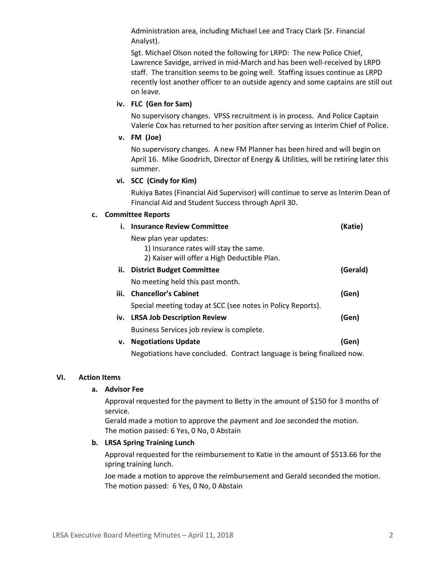Administration area, including Michael Lee and Tracy Clark (Sr. Financial Analyst).

Sgt. Michael Olson noted the following for LRPD: The new Police Chief, Lawrence Savidge, arrived in mid-March and has been well-received by LRPD staff. The transition seems to be going well. Staffing issues continue as LRPD recently lost another officer to an outside agency and some captains are still out on leave.

## **iv. FLC (Gen for Sam)**

No supervisory changes. VPSS recruitment is in process. And Police Captain Valerie Cox has returned to her position after serving as Interim Chief of Police.

**v. FM (Joe)**

No supervisory changes. A new FM Planner has been hired and will begin on April 16. Mike Goodrich, Director of Energy & Utilities, will be retiring later this summer.

## **vi. SCC (Cindy for Kim)**

Rukiya Bates (Financial Aid Supervisor) will continue to serve as Interim Dean of Financial Aid and Student Success through April 30.

### **c. Committee Reports**

| i.   | <b>Insurance Review Committee</b>                                      | (Katie)  |
|------|------------------------------------------------------------------------|----------|
|      | New plan year updates:                                                 |          |
|      | 1) Insurance rates will stay the same.                                 |          |
|      | 2) Kaiser will offer a High Deductible Plan.                           |          |
| ii.  | <b>District Budget Committee</b>                                       | (Gerald) |
|      | No meeting held this past month.                                       |          |
| iii. | <b>Chancellor's Cabinet</b>                                            | (Gen)    |
|      | Special meeting today at SCC (see notes in Policy Reports).            |          |
|      | iv. LRSA Job Description Review                                        | (Gen)    |
|      | Business Services job review is complete.                              |          |
| v.   | <b>Negotiations Update</b>                                             | (Gen)    |
|      | Negotiations have concluded. Contract language is being finalized now. |          |

#### **VI. Action Items**

#### **a. Advisor Fee**

Approval requested for the payment to Betty in the amount of \$150 for 3 months of service.

Gerald made a motion to approve the payment and Joe seconded the motion. The motion passed: 6 Yes, 0 No, 0 Abstain

#### **b. LRSA Spring Training Lunch**

Approval requested for the reimbursement to Katie in the amount of \$513.66 for the spring training lunch.

Joe made a motion to approve the reimbursement and Gerald seconded the motion. The motion passed: 6 Yes, 0 No, 0 Abstain